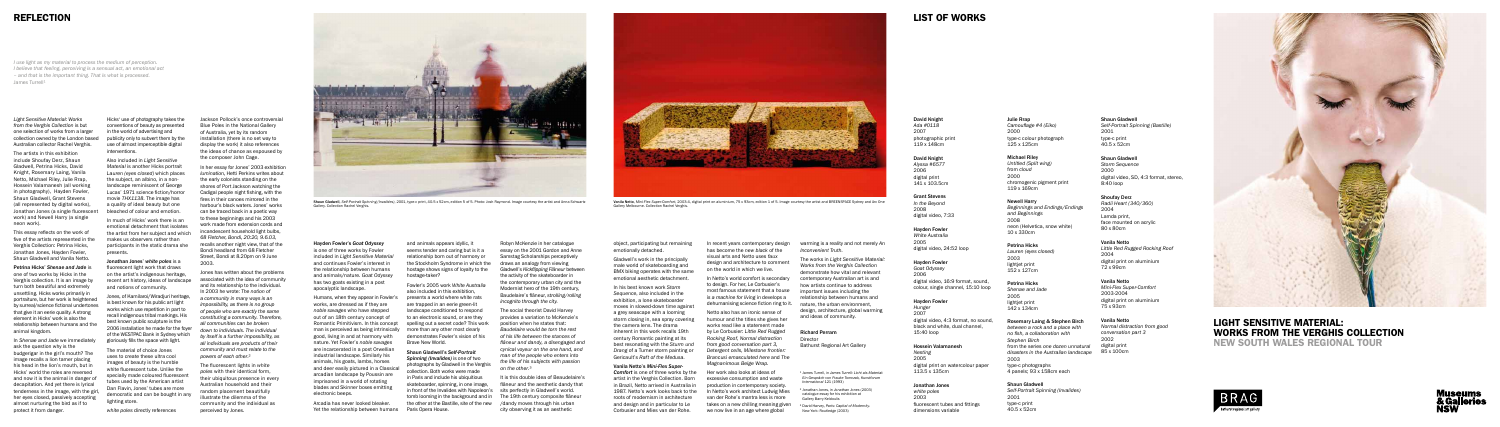## Light Sensitive Material: Works from the Verghis Collection New South Wales Regional Tour





*Light Sensitive Material: Works from the Verghis Collection* is but one selection of works from a larger collection owned by the London based Australian collector Rachel Verghis.

The artists in this exhibition include Shoufay Derz, Shaun Gladwell, Petrina Hicks, David Knight, Rosemary Laing, Vanila Netto, Michael Riley, Julie Rrap, Hossein Valamanesh (all working in photography), Hayden Fowler, Shaun Gladwell, Grant Stevens (all represented by digital works), Jonathan Jones (a single fluorescent work) and Newell Harry (a single neon work).

This essay reflects on the work of five of the artists represented in the Verghis Collection: Petrina Hicks, Jonathan Jones, Hayden Fowler, Shaun Gladwell and Vanila Netto.

Petrina Hicks' *Shenae and Jade* is one of two works by Hicks in the Verghis collection. It is an image by turn both beautiful and extremely unsettling. Hicks works primarily in portraiture, but her work is heightened by surreal/science fictional undertones that give it an eerie quality. A strong element in Hicks' work is also the relationship between humans and the animal kingdom.

In *Shenae and Jade* we immediately ask the question why is the budgerigar in the girl's mouth? The image recalls a lion tamer placing his head in the lion's mouth, but in Hicks' world the roles are reversed and now it is the animal in danger of decapitation. And yet there is lyrical tenderness in the image, with the girl, her eyes closed, passively accepting almost nurturing the bird as if to protect it from danger.

Hicks' use of photography takes the conventions of beauty as presented in the world of advertising and publicity only to subvert them by the use of almost imperceptible digital interventions.

Also included in *Light Sensitive Material* is another Hicks portrait *Lauren (eyes closed)* which places the subject, an albino, in a nonlandscape reminiscent of George Lucas' 1971 science fiction/horror movie *THX1138.* The image has a quality of ideal beauty but one bleached of colour and emotion.

In much of Hicks' work there is an emotional detachment that isolates the artist from her subject and which makes us observers rather than participants in the static drama she presents.

Jonathan Jones' *white poles* is a fluorescent light work that draws on the artist's indigenous heritage, recent art history, ideas of landscape and notions of community.

Jones, of Kamilaroi/Wiradjuri heritage, is best known for his public art light works which use repetition in part to recall indigenous tribal markings. His best known public sculpture is the 2006 installation he made for the foyer of the WESTPAC Bank in Sydney which gloriously fills the space with light.

The material of choice Jones uses to create these ultra cool images of beauty is the humble white fluorescent tube. Unlike the specially made coloured fluorescent tubes used by the American artist Dan Flavin, Jones' tubes are more democratic and can be bought in any lighting store.

*white poles* directly references

Jackson Pollock's once controversial Blue Poles in the National Gallery of Australia, yet by its random installation (there is no set way to display the work) it also references the ideas of chance as espoused by the composer John Cage.

In her essay for Jones' 2003 exhibition *lumination,* Hetti Perkins writes about the early colonists standing on the shores of Port Jackson watching the Cadigal people night fishing, with the fires in their canoes mirrored in the harbour's black waters. Jones' works can be traced back in a poetic way to these beginnings and his 2003 work made from extension cords and incandescent household light bulbs, *68 Fletcher, Bondi, 20:20, 9.6.03*, recalls another night view, that of the Bondi headland from 68 Fletcher Street, Bondi at 8.20pm on 9 June 2003.

Jones has written about the problems associated with the idea of community and its relationship to the individual. In 2003 he wrote: *The notion of a community in many ways is an impossibility, as there is no group of people who are exactly the same constituting a community. Therefore, all communities can be broken down to individuals. The individual by itself is a further impossibility, as all individuals are products of their community and must relate to the powers of each other*.²

The fluorescent lights in *white poles* with their identical form, their ubiquitous presence in every Australian household and their random placement beautifully illustrate the dilemma of the community and the individual as perceived by Jones.

## REFLECTION

Hayden Fowler's *Goat Odyssey* 

Director Bathurst Regional Art Gallery

is one of three works by Fowler included in *Light Sensitive Material*  and continues Fowler's interest in the relationship between humans and animals/nature. *Goat Odyssey*  has two goats existing in a post apocalyptic landscape.

> <sup>1</sup> James Turrell, in *James Turrell: Licht als Material Ein Gespräch von Frauke Tomczak, Kunstforum International* 121 (1993)

*I use light as my material to process the medium of perception. I believe that feeling, perceiving is a sensual act, an emotional act – and that is the important thing. That is what is processed.*  James Turrell<sup>1</sup>

> Humans, when they appear in Fowler's works, are dressed as if they are *noble savages* who have stepped out of an 18th century concept of Romantic Primitivism. In this concept man is perceived as being intrinsically more than any other most clearly good, living in and at harmony with nature. Yet Fowler's *noble savages*  are incarcerated in a post Orwellian industrial landscape. Similarly his animals, his goats, lambs, horses and deer easily pictured in a Classical arcadian landscape by Poussin are imprisoned in a world of rotating blades and Skinner boxes emitting electronic beeps.

and animals appears idyllic, it seems tender and caring but is it a relationship born out of harmony or the Stockholm Syndrome in which the hostage shows signs of loyalty to the hostage-taker?

Fowler's 2005 work *White Australia*  also included in this exhibition, presents a world where white rats are trapped in an eerie green-lit landscape conditioned to respond to an electronic sound, or are they spelling out a secret code? This work demonstrates Fowler's vision of his Brave New World.

Arcadia has never looked bleaker. Yet the relationship between humans Paris Opera House.

Robyn McKenzie in her catalogue essay on the 2001 Gordon and Anne Samstag Scholarships perceptively draws an analogy from viewing Gladwell's *Kickflipping Flâneur* between the activity of the skateboarder in the contemporary urban city and the Modernist hero of the 19th century, Baudelaire's flâneur, *strolling/rolling incognito through the city.*

Shaun Gladwell's *Self-Portrait Spinning (Invalides)* is one of two photographs by Gladwell in the Verghis collection. Both works were made in Paris and include his ubiquitious skateboarder, spinning, in one image, in front of the Invalides with Napoleon's sits perfectly in Gladwell's world. tomb looming in the background and in The 19th century composite flâneur the other at the Bastille, site of the new /dandy moves through his urban

The social theorist David Harvey provides a variation to McKenzie's position when he states that: *Baudelaire would be torn the rest of his life between the stances of flâneur and dandy, a disengaged and cynical voyeur on the one hand, and man of the people who enters into the life of his subjects with passion on the other*.³

It is this double idea of Beaudelaire's flâneur and the aesthetic dandy that city observing it as an aesthetic



object, participating but remaining emotionally detached.

Gladwell's work in the principally male world of skateboarding and BMX biking operates with the same emotional aesthetic detachment.

In his best known work *Storm Sequence*, also included in the exhibition, a lone skateboarder moves in slowed-down time against a grey seascape with a looming storm closing in, sea spray covering the camera lens. The drama inherent in this work recalls 19th century Romantic painting at its best resonating with the *Sturm und Drang* of a Turner storm painting or Gericault's *Raft of the Medusa.* 

#### Vanila Netto's *Mini-Flex Super-*

*Comfort* is one of three works by the artist in the Verghis Collection. Born in Brazil, Netto arrived in Australia in 1987. Netto's work looks back to the roots of modernism in architecture and design and in particular to Le Corbusier and Mies van der Rohe.

In recent years contemporary design has become the *new black* of the visual arts and Netto uses *faux* design and architecture to comment on the world in which we live.

In Netto's world comfort is secondary to design. For her, Le Corbusier's most famous statement that a *house is a machine for living in* develops a dehumanising science fiction ring to it.

Netto also has an ironic sense of humour and the titles she gives her works read like a statement made by Le Corbusier: *Little Red Rugged Rocking Roof, Normal distraction from good conversation part 3, Detergent cells, Milestone frontier: Brancusi emasculated here* and *The Magnanimous Beige Wrap.*

Her work also looks at ideas of excessive consumption and waste production in contemporary society. In Netto's work architect Ludwig Mies van der Rohe's mantra less is more takes on a new chilling meaning given we now live in an age where global

warming is a reality and not merely *An Inconvenient Truth.*

The works in *Light Sensitive Material: Works from the Verghis Collection*  demonstrate how vital and relevant contemporary Australian art is and how artists continue to address important issues including the relationship between humans and nature, the urban environment, design, architecture, global warming and ideas of community.

#### Richard Perram



Shaun Gladwell, *Self-Portrait Spinning (Invalides)*, 2001, type-c print, 40.5 x 52cm, edition 5 of 5. Photo: Josh Raymond. Image courtesy the artist and Anna Schwartz Gallery. Collection Rachel Verghis. Vanila Netto, *Mini-Flex Super-Comfort*, 2003-4, digital print on aluminium, 75 x 93cm, edition 1 of 5. Image courtesy the artist and BREENSPACE Sydney and Arc One Gallery Melbourne. Collection Rachel Verghis.

² Jonathan Jones, in *Jonathan Jones* (2003) catalogue essay for his exhibition at Gallery Barry Keldoulis

³ David Harvey, *Paris: Capital of Modernity.* New York: Routledge (2003)

David Knight *Ada #0118* 2007 photographic print 119 x 148cm

David Knight *Alyssa #6577* 2006 digital print 141 x 103.5cm

Grant Stevens *In the Beyond* 2008 digital video, 7:33

#### Hayden Fowler *White Australia*

2005 digital video, 24:52 loop

#### Hayden Fowler

*Goat Odyssey* 2006 digital video, 16:9 format, sound, colour, single channel, 15:10 loop

#### Hayden Fowler

*Hunger* 2007 digital video, 4:3 format, no sound, black and white, dual channel, 15:40 loop

#### Hossein Valamanesh

*Nesting* 2005 digital print on watercolour paper 113.5 x 135cm

#### Jonathan Jones

*white poles* 2003 fluorescent tubes and fittings dimensions variable

#### Julie Rrap *Camouflage #4 (Eiko)* 2000 type-c colour photograph 125 x 125cm

Michael Riley *Untitled (Split wing)* from *cloud* 2000 chromogenic pigment print 119 x 169cm

#### Newell Harry

*Beginnings and Endings/Endings and Beginnings* 2008 neon (Helvetica, snow white) 10 x 330cm

#### Petrina Hicks

*Lauren (eyes closed)* 2003 lightjet print 152 x 127cm

#### Petrina Hicks *Shenae and Jade* 2005 lightiet print 142 x 134cm

Rosemary Laing & Stephen Birch

*between a rock and a place with no fish, a collaboration with Stephen Birch* from the series *one dozen unnatural disasters in the Australian landscape* 2003 type-c photographs 4 panels; 93 x 158cm each

#### Shaun Gladwell

*Self-Portrait Spinning (Invalides)* 2001 type-c print 40.5 x 52cm

#### Shaun Gladwell *Self-Portrait Spinning (Bastille)* 2001 type-c print 40.5 x 52cm

#### Shaun Gladwell

*Storm Sequence* 2000 digital video, SD, 4:3 format, stereo, 8:40 loop

#### Shoufay Derz

*Radii Heart (340/360)* 2004 Lamda print, face mounted on acrylic 80 x 80cm

#### Vanila Netto

*Little Red Rugged Rocking Roof*  2004 digital print on aluminium 72 x 99cm

#### Vanila Netto

*Mini-Flex Super-Comfort* 2003-2004 digital print on aluminium 75 x 93cm

#### Vanila Netto

*Normal distraction from good conversation part 3* 2002 digital print 85 x 100cm



## LIST OF WORKS